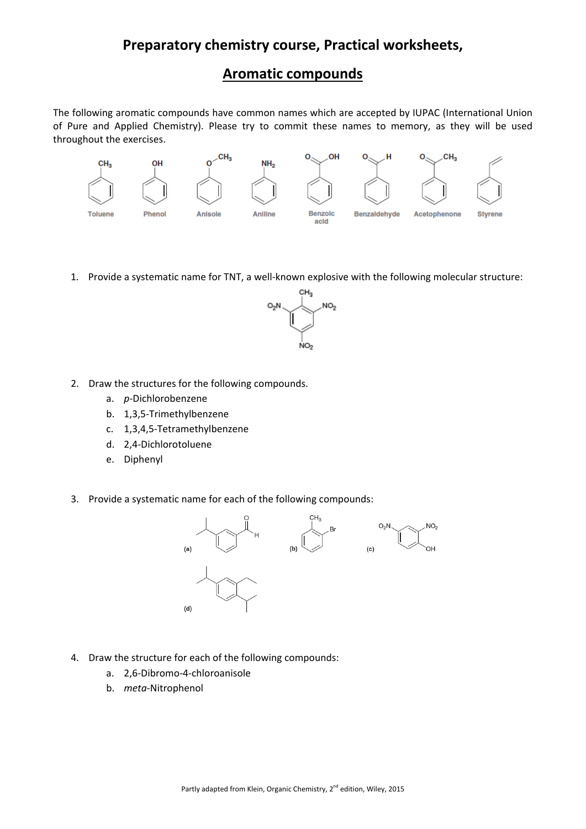# **Preparatory chemistry course, Practical worksheets,**

### **Aromatic compounds**

The following aromatic compounds have common names which are accepted by IUPAC (International Union of Pure and Applied Chemistry). Please try to commit these names to memory, as they will be used throughout the exercises.



1. Provide a systematic name for TNT, a well-known explosive with the following molecular structure:



- 2. Draw the structures for the following compounds.
	- a. *p*‐Dichlorobenzene
	- b. 1,3,5‐Trimethylbenzene
	- c. 1,3,4,5‐Tetramethylbenzene
	- d. 2,4‐Dichlorotoluene
	- e. Diphenyl
- 3. Provide a systematic name for each of the following compounds:



- 4. Draw the structure for each of the following compounds:
	- a. 2,6‐Dibromo‐4‐chloroanisole
	- b. *meta*‐Nitrophenol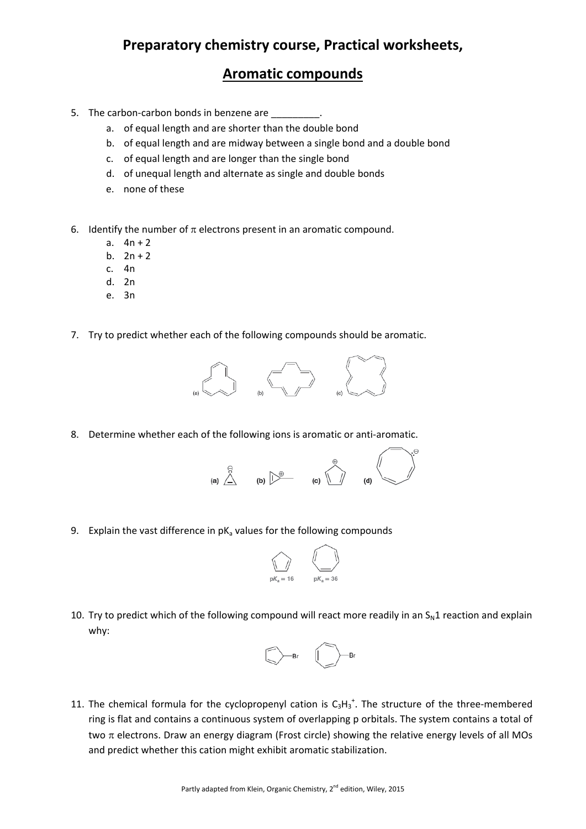# **Preparatory chemistry course, Practical worksheets,**

#### **Aromatic compounds**

- 5. The carbon-carbon bonds in benzene are
	- a. of equal length and are shorter than the double bond
	- b. of equal length and are midway between a single bond and a double bond
	- c. of equal length and are longer than the single bond
	- d. of unequal length and alternate as single and double bonds
	- e. none of these
- 6. Identify the number of  $\pi$  electrons present in an aromatic compound.
	- a.  $4n + 2$
	- b.  $2n + 2$
	- c. 4n
	- d. 2n
	- e. 3n
- 7. Try to predict whether each of the following compounds should be aromatic.



8. Determine whether each of the following ions is aromatic or anti-aromatic.



9. Explain the vast difference in  $pK<sub>a</sub>$  values for the following compounds



10. Try to predict which of the following compound will react more readily in an  $S<sub>N</sub>1$  reaction and explain why:



11. The chemical formula for the cyclopropenyl cation is  $C_3H_3^+$ . The structure of the three-membered ring is flat and contains a continuous system of overlapping p orbitals. The system contains a total of two  $\pi$  electrons. Draw an energy diagram (Frost circle) showing the relative energy levels of all MOs and predict whether this cation might exhibit aromatic stabilization.